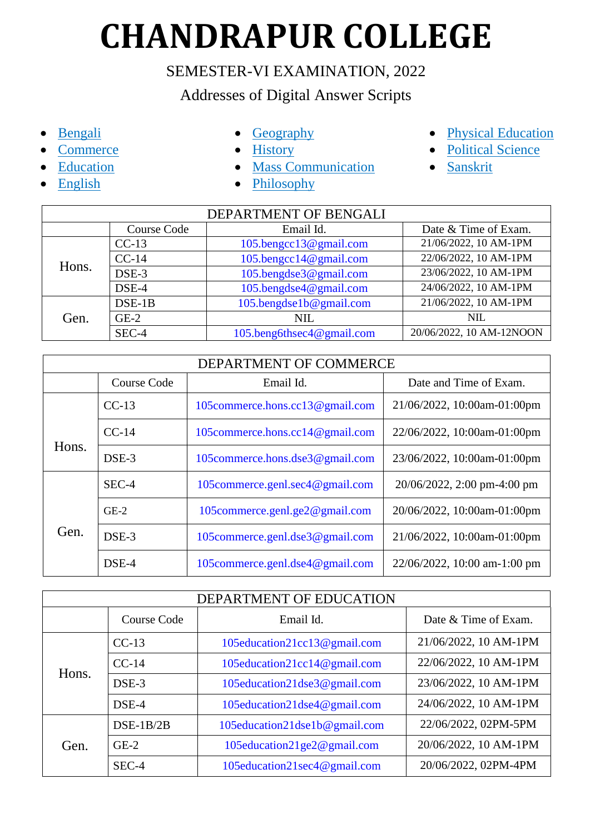## **CHANDRAPUR COLLEGE**

## SEMESTER-VI EXAMINATION, 2022

## Addresses of Digital Answer Scripts

- [Bengali](#page-0-0)
- [Commerce](#page-0-1)
- [Education](#page-0-2)
- [English](#page-1-0)
- [Geography](#page-1-1)
- [History](#page-1-2)
- [Mass Communication](#page-1-3)
- [Philosophy](#page-1-4)
- [Physical Education](#page-2-0)
- [Political Science](#page-2-1)
- [Sanskrit](#page-2-2)

<span id="page-0-0"></span>

| DEPARTMENT OF BENGALI |             |                           |                          |
|-----------------------|-------------|---------------------------|--------------------------|
|                       | Course Code | Email Id.                 | Date & Time of Exam.     |
|                       | $CC-13$     | 105.bengcc13@gmail.com    | 21/06/2022, 10 AM-1PM    |
| Hons.                 | $CC-14$     | 105.bengcc14@gmail.com    | 22/06/2022, 10 AM-1PM    |
|                       | DSE-3       | 105.bengdse3@gmail.com    | 23/06/2022, 10 AM-1PM    |
|                       | DSE-4       | 105.bengdse4@gmail.com    | 24/06/2022, 10 AM-1PM    |
| Gen.                  | $DSE-1B$    | 105.bengdse1b@gmail.com   | 21/06/2022, 10 AM-1PM    |
|                       | $GE-2$      | <b>NIL</b>                | <b>NIL</b>               |
|                       | SEC-4       | 105.beng6thsec4@gmail.com | 20/06/2022, 10 AM-12NOON |

<span id="page-0-1"></span>

| DEPARTMENT OF COMMERCE |             |                                  |                              |
|------------------------|-------------|----------------------------------|------------------------------|
|                        | Course Code | Email Id.                        | Date and Time of Exam.       |
|                        | $CC-13$     | 105 commerce.hons.cc13@gmail.com | 21/06/2022, 10:00am-01:00pm  |
| Hons.                  | $CC-14$     | 105 commerce.hons.cc14@gmail.com | 22/06/2022, 10:00am-01:00pm  |
|                        | DSE-3       | 105 commerce.hons.dse3@gmail.com | 23/06/2022, 10:00am-01:00pm  |
|                        | SEC-4       | 105commerce.genl.sec4@gmail.com  | 20/06/2022, 2:00 pm-4:00 pm  |
| Gen.                   | $GE-2$      | 105commerce.genl.ge2@gmail.com   | 20/06/2022, 10:00am-01:00pm  |
|                        | DSE-3       | 105 commerce.genl.dse3@gmail.com | 21/06/2022, 10:00am-01:00pm  |
|                        | DSE-4       | 105commerce.genl.dse4@gmail.com  | 22/06/2022, 10:00 am-1:00 pm |

<span id="page-0-2"></span>

| DEPARTMENT OF EDUCATION |             |                               |                       |
|-------------------------|-------------|-------------------------------|-----------------------|
|                         | Course Code | Email Id.                     | Date & Time of Exam.  |
| Hons.                   | $CC-13$     | 105education21cc13@gmail.com  | 21/06/2022, 10 AM-1PM |
|                         | $CC-14$     | 105education21cc14@gmail.com  | 22/06/2022, 10 AM-1PM |
|                         | DSE-3       | 105education21dse3@gmail.com  | 23/06/2022, 10 AM-1PM |
|                         | DSE-4       | 105education21dse4@gmail.com  | 24/06/2022, 10 AM-1PM |
| Gen.                    | $DSE-1B/2B$ | 105education21dse1b@gmail.com | 22/06/2022, 02PM-5PM  |
|                         | $GE-2$      | 105education21ge2@gmail.com   | 20/06/2022, 10 AM-1PM |
|                         | SEC-4       | 105education21sec4@gmail.com  | 20/06/2022, 02PM-4PM  |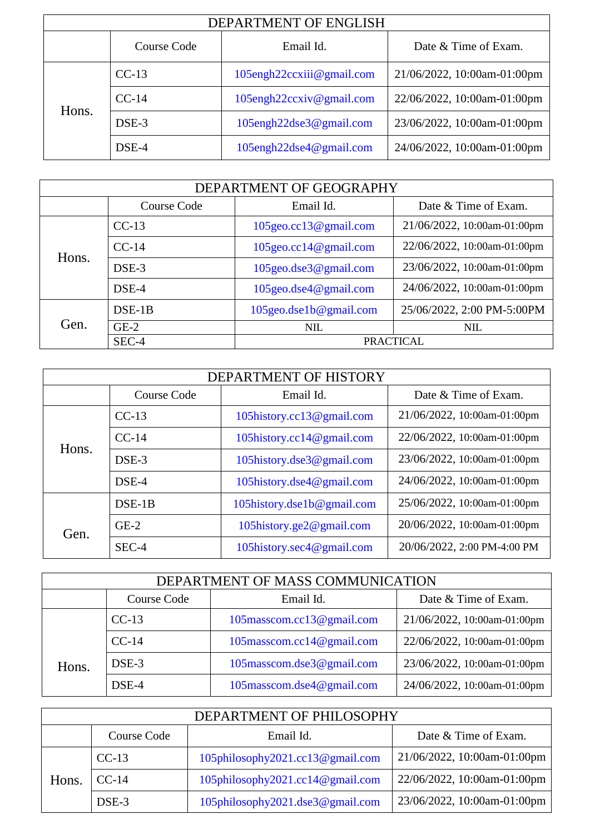<span id="page-1-0"></span>

| DEPARTMENT OF ENGLISH |             |                           |                             |
|-----------------------|-------------|---------------------------|-----------------------------|
|                       | Course Code | Email Id.                 | Date & Time of Exam.        |
| Hons.                 | $CC-13$     | 105engh22ccxiii@gmail.com | 21/06/2022, 10:00am-01:00pm |
|                       | $CC-14$     | 105engh22ccxiv@gmail.com  | 22/06/2022, 10:00am-01:00pm |
|                       | $DSE-3$     | 105engh22dse3@gmail.com   | 23/06/2022, 10:00am-01:00pm |
|                       | DSE-4       | 105engh22dse4@gmail.com   | 24/06/2022, 10:00am-01:00pm |

<span id="page-1-1"></span>

| DEPARTMENT OF GEOGRAPHY |             |                              |                             |
|-------------------------|-------------|------------------------------|-----------------------------|
|                         | Course Code | Email Id.                    | Date & Time of Exam.        |
|                         | $CC-13$     | 105geo.cc13@gmail.com        | 21/06/2022, 10:00am-01:00pm |
| Hons.                   | $CC-14$     | $105$ geo.cc $14@$ gmail.com | 22/06/2022, 10:00am-01:00pm |
|                         | DSE-3       | 105geo.dse3@gmail.com        | 23/06/2022, 10:00am-01:00pm |
|                         | DSE-4       | $105$ geo.dse $4@$ gmail.com | 24/06/2022, 10:00am-01:00pm |
| Gen.                    | $DSE-1B$    | 105geo.dse1b@gmail.com       | 25/06/2022, 2:00 PM-5:00PM  |
|                         | $GE-2$      | <b>NIL</b>                   | <b>NIL</b>                  |
|                         | SEC-4       |                              | <b>PRACTICAL</b>            |

<span id="page-1-2"></span>

| DEPARTMENT OF HISTORY |             |                            |                             |
|-----------------------|-------------|----------------------------|-----------------------------|
|                       | Course Code | Email Id.                  | Date & Time of Exam.        |
|                       | $CC-13$     | 105history.cc13@gmail.com  | 21/06/2022, 10:00am-01:00pm |
|                       | $CC-14$     | 105history.cc14@gmail.com  | 22/06/2022, 10:00am-01:00pm |
| Hons.                 | DSE-3       | 105history.dse3@gmail.com  | 23/06/2022, 10:00am-01:00pm |
|                       | DSE-4       | 105history.dse4@gmail.com  | 24/06/2022, 10:00am-01:00pm |
|                       | $DSE-1B$    | 105history.dse1b@gmail.com | 25/06/2022, 10:00am-01:00pm |
| Gen.                  | $GE-2$      | 105history.ge2@gmail.com   | 20/06/2022, 10:00am-01:00pm |
|                       | $SEC-4$     | 105history.sec4@gmail.com  | 20/06/2022, 2:00 PM-4:00 PM |

<span id="page-1-3"></span>

| DEPARTMENT OF MASS COMMUNICATION |             |                           |                             |
|----------------------------------|-------------|---------------------------|-----------------------------|
|                                  | Course Code | Email Id.                 | Date & Time of Exam.        |
|                                  | $CC-13$     | 105masscom.cc13@gmail.com | 21/06/2022, 10:00am-01:00pm |
| Hons.                            | $CC-14$     | 105masscom.cc14@gmail.com | 22/06/2022, 10:00am-01:00pm |
|                                  | DSE-3       | 105masscom.dse3@gmail.com | 23/06/2022, 10:00am-01:00pm |
|                                  | DSE-4       | 105masscom.dse4@gmail.com | 24/06/2022, 10:00am-01:00pm |

<span id="page-1-4"></span>

| DEPARTMENT OF PHILOSOPHY |                                                  |                                  |                             |  |
|--------------------------|--------------------------------------------------|----------------------------------|-----------------------------|--|
|                          | Date & Time of Exam.<br>Course Code<br>Email Id. |                                  |                             |  |
| Hons.                    | $CC-13$                                          | 105philosophy2021.cc13@gmail.com | 21/06/2022, 10:00am-01:00pm |  |
|                          | $CC-14$                                          | 105philosophy2021.cc14@gmail.com | 22/06/2022, 10:00am-01:00pm |  |
|                          | DSE-3                                            | 105philosophy2021.dse3@gmail.com | 23/06/2022, 10:00am-01:00pm |  |